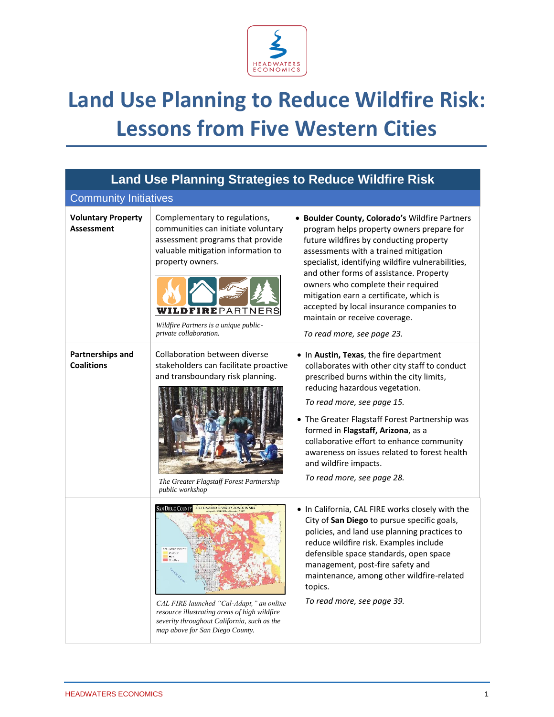

## **Land Use Planning to Reduce Wildfire Risk: Lessons from Five Western Cities**

| <b>Land Use Planning Strategies to Reduce Wildfire Risk</b> |                                                                                                                                                                                                                                                               |                                                                                                                                                                                                                                                                                                                                                                                                                                                                             |  |  |
|-------------------------------------------------------------|---------------------------------------------------------------------------------------------------------------------------------------------------------------------------------------------------------------------------------------------------------------|-----------------------------------------------------------------------------------------------------------------------------------------------------------------------------------------------------------------------------------------------------------------------------------------------------------------------------------------------------------------------------------------------------------------------------------------------------------------------------|--|--|
| <b>Community Initiatives</b>                                |                                                                                                                                                                                                                                                               |                                                                                                                                                                                                                                                                                                                                                                                                                                                                             |  |  |
| <b>Voluntary Property</b><br><b>Assessment</b>              | Complementary to regulations,<br>communities can initiate voluntary<br>assessment programs that provide<br>valuable mitigation information to<br>property owners.<br><b>DFIRE</b> PARTNERS<br>Wildfire Partners is a unique public-<br>private collaboration. | · Boulder County, Colorado's Wildfire Partners<br>program helps property owners prepare for<br>future wildfires by conducting property<br>assessments with a trained mitigation<br>specialist, identifying wildfire vulnerabilities,<br>and other forms of assistance. Property<br>owners who complete their required<br>mitigation earn a certificate, which is<br>accepted by local insurance companies to<br>maintain or receive coverage.<br>To read more, see page 23. |  |  |
| Partnerships and<br><b>Coalitions</b>                       | Collaboration between diverse<br>stakeholders can facilitate proactive<br>and transboundary risk planning.<br>The Greater Flagstaff Forest Partnership<br><i>public workshop</i>                                                                              | • In Austin, Texas, the fire department<br>collaborates with other city staff to conduct<br>prescribed burns within the city limits,<br>reducing hazardous vegetation.<br>To read more, see page 15.<br>• The Greater Flagstaff Forest Partnership was<br>formed in Flagstaff, Arizona, as a<br>collaborative effort to enhance community<br>awareness on issues related to forest health<br>and wildfire impacts.<br>To read more, see page 28.                            |  |  |
|                                                             | AN DIEGO COUNTY<br>FIRE HAZARD SEVERTLY ZONES IN SRA<br><b>IN HAZARD SE</b><br>CAL FIRE launched "Cal-Adapt," an online<br>resource illustrating areas of high wildfire<br>severity throughout California, such as the<br>map above for San Diego County.     | . In California, CAL FIRE works closely with the<br>City of San Diego to pursue specific goals,<br>policies, and land use planning practices to<br>reduce wildfire risk. Examples include<br>defensible space standards, open space<br>management, post-fire safety and<br>maintenance, among other wildfire-related<br>topics.<br>To read more, see page 39.                                                                                                               |  |  |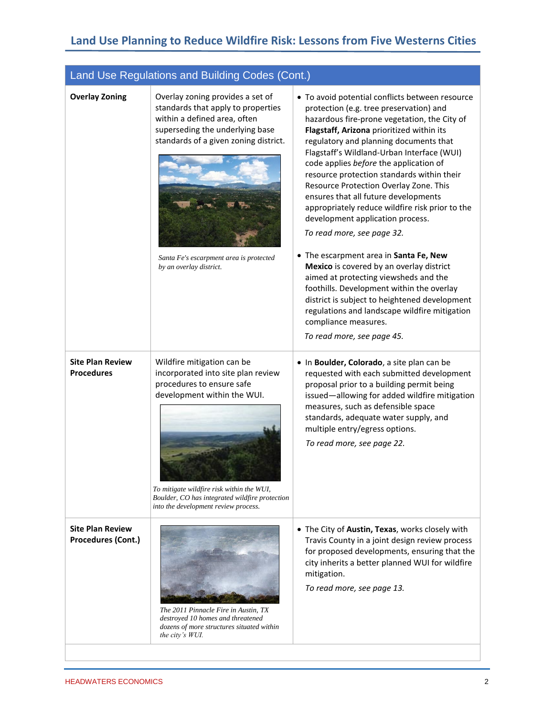## **Land Use Planning to Reduce Wildfire Risk: Lessons from Five Westerns Cities**

## Land Use Regulations and Building Codes (Cont.)

| <b>Overlay Zoning</b>                                | Overlay zoning provides a set of<br>standards that apply to properties<br>within a defined area, often<br>superseding the underlying base<br>standards of a given zoning district.                                                                                  | • To avoid potential conflicts between resource<br>protection (e.g. tree preservation) and<br>hazardous fire-prone vegetation, the City of<br>Flagstaff, Arizona prioritized within its<br>regulatory and planning documents that<br>Flagstaff's Wildland-Urban Interface (WUI)<br>code applies before the application of<br>resource protection standards within their<br>Resource Protection Overlay Zone. This<br>ensures that all future developments<br>appropriately reduce wildfire risk prior to the<br>development application process.<br>To read more, see page 32. |
|------------------------------------------------------|---------------------------------------------------------------------------------------------------------------------------------------------------------------------------------------------------------------------------------------------------------------------|--------------------------------------------------------------------------------------------------------------------------------------------------------------------------------------------------------------------------------------------------------------------------------------------------------------------------------------------------------------------------------------------------------------------------------------------------------------------------------------------------------------------------------------------------------------------------------|
|                                                      | Santa Fe's escarpment area is protected<br>by an overlay district.                                                                                                                                                                                                  | • The escarpment area in Santa Fe, New<br>Mexico is covered by an overlay district<br>aimed at protecting viewsheds and the<br>foothills. Development within the overlay<br>district is subject to heightened development<br>regulations and landscape wildfire mitigation<br>compliance measures.<br>To read more, see page 45.                                                                                                                                                                                                                                               |
| <b>Site Plan Review</b><br><b>Procedures</b>         | Wildfire mitigation can be<br>incorporated into site plan review<br>procedures to ensure safe<br>development within the WUI.<br>To mitigate wildfire risk within the WUI,<br>Boulder, CO has integrated wildfire protection<br>into the development review process. | . In Boulder, Colorado, a site plan can be<br>requested with each submitted development<br>proposal prior to a building permit being<br>issued-allowing for added wildfire mitigation<br>measures, such as defensible space<br>standards, adequate water supply, and<br>multiple entry/egress options.<br>To read more, see page 22.                                                                                                                                                                                                                                           |
| <b>Site Plan Review</b><br><b>Procedures (Cont.)</b> | The 2011 Pinnacle Fire in Austin, TX<br>destroyed 10 homes and threatened<br>dozens of more structures situated within<br>the city's WUI.                                                                                                                           | • The City of Austin, Texas, works closely with<br>Travis County in a joint design review process<br>for proposed developments, ensuring that the<br>city inherits a better planned WUI for wildfire<br>mitigation.<br>To read more, see page 13.                                                                                                                                                                                                                                                                                                                              |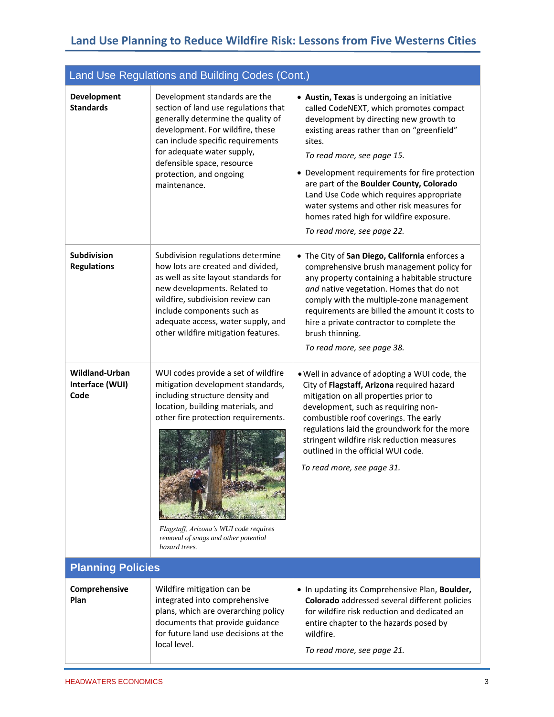| Land Use Regulations and Building Codes (Cont.) |                                                                                                                                                                                                                                                                                               |                                                                                                                                                                                                                                                                                                                                                                                                                                                                                        |  |
|-------------------------------------------------|-----------------------------------------------------------------------------------------------------------------------------------------------------------------------------------------------------------------------------------------------------------------------------------------------|----------------------------------------------------------------------------------------------------------------------------------------------------------------------------------------------------------------------------------------------------------------------------------------------------------------------------------------------------------------------------------------------------------------------------------------------------------------------------------------|--|
| <b>Development</b><br><b>Standards</b>          | Development standards are the<br>section of land use regulations that<br>generally determine the quality of<br>development. For wildfire, these<br>can include specific requirements<br>for adequate water supply,<br>defensible space, resource<br>protection, and ongoing<br>maintenance.   | • Austin, Texas is undergoing an initiative<br>called CodeNEXT, which promotes compact<br>development by directing new growth to<br>existing areas rather than on "greenfield"<br>sites.<br>To read more, see page 15.<br>• Development requirements for fire protection<br>are part of the Boulder County, Colorado<br>Land Use Code which requires appropriate<br>water systems and other risk measures for<br>homes rated high for wildfire exposure.<br>To read more, see page 22. |  |
| Subdivision<br><b>Regulations</b>               | Subdivision regulations determine<br>how lots are created and divided,<br>as well as site layout standards for<br>new developments. Related to<br>wildfire, subdivision review can<br>include components such as<br>adequate access, water supply, and<br>other wildfire mitigation features. | • The City of San Diego, California enforces a<br>comprehensive brush management policy for<br>any property containing a habitable structure<br>and native vegetation. Homes that do not<br>comply with the multiple-zone management<br>requirements are billed the amount it costs to<br>hire a private contractor to complete the<br>brush thinning.<br>To read more, see page 38.                                                                                                   |  |
| Wildland-Urban<br>Interface (WUI)<br>Code       | WUI codes provide a set of wildfire<br>mitigation development standards,<br>including structure density and<br>location, building materials, and<br>other fire protection requirements.<br>Flagstaff, Arizona's WUI code requires<br>removal of snags and other potential<br>hazard trees.    | . Well in advance of adopting a WUI code, the<br>City of Flagstaff, Arizona required hazard<br>mitigation on all properties prior to<br>development, such as requiring non-<br>combustible roof coverings. The early<br>regulations laid the groundwork for the more<br>stringent wildfire risk reduction measures<br>outlined in the official WUI code.<br>To read more, see page 31.                                                                                                 |  |
| <b>Planning Policies</b>                        |                                                                                                                                                                                                                                                                                               |                                                                                                                                                                                                                                                                                                                                                                                                                                                                                        |  |
| Comprehensive<br>Plan                           | Wildfire mitigation can be<br>integrated into comprehensive<br>plans, which are overarching policy<br>documents that provide guidance<br>for future land use decisions at the<br>local level.                                                                                                 | . In updating its Comprehensive Plan, Boulder,<br>Colorado addressed several different policies<br>for wildfire risk reduction and dedicated an<br>entire chapter to the hazards posed by<br>wildfire.<br>To read more, see page 21.                                                                                                                                                                                                                                                   |  |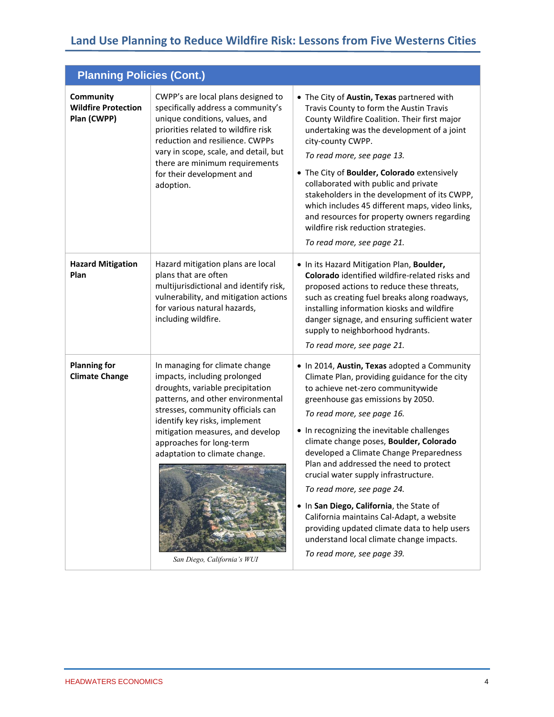## **Land Use Planning to Reduce Wildfire Risk: Lessons from Five Westerns Cities**

| <b>Planning Policies (Cont.)</b>                       |                                                                                                                                                                                                                                                                                                                                               |                                                                                                                                                                                                                                                                                                                                                                                                                                                                                                                                                                                                                                                                              |  |  |
|--------------------------------------------------------|-----------------------------------------------------------------------------------------------------------------------------------------------------------------------------------------------------------------------------------------------------------------------------------------------------------------------------------------------|------------------------------------------------------------------------------------------------------------------------------------------------------------------------------------------------------------------------------------------------------------------------------------------------------------------------------------------------------------------------------------------------------------------------------------------------------------------------------------------------------------------------------------------------------------------------------------------------------------------------------------------------------------------------------|--|--|
| Community<br><b>Wildfire Protection</b><br>Plan (CWPP) | CWPP's are local plans designed to<br>specifically address a community's<br>unique conditions, values, and<br>priorities related to wildfire risk<br>reduction and resilience. CWPPs<br>vary in scope, scale, and detail, but<br>there are minimum requirements<br>for their development and<br>adoption.                                     | • The City of Austin, Texas partnered with<br>Travis County to form the Austin Travis<br>County Wildfire Coalition. Their first major<br>undertaking was the development of a joint<br>city-county CWPP.<br>To read more, see page 13.<br>• The City of Boulder, Colorado extensively<br>collaborated with public and private<br>stakeholders in the development of its CWPP,<br>which includes 45 different maps, video links,<br>and resources for property owners regarding<br>wildfire risk reduction strategies.<br>To read more, see page 21.                                                                                                                          |  |  |
| <b>Hazard Mitigation</b><br>Plan                       | Hazard mitigation plans are local<br>plans that are often<br>multijurisdictional and identify risk,<br>vulnerability, and mitigation actions<br>for various natural hazards,<br>including wildfire.                                                                                                                                           | . In its Hazard Mitigation Plan, Boulder,<br>Colorado identified wildfire-related risks and<br>proposed actions to reduce these threats,<br>such as creating fuel breaks along roadways,<br>installing information kiosks and wildfire<br>danger signage, and ensuring sufficient water<br>supply to neighborhood hydrants.<br>To read more, see page 21.                                                                                                                                                                                                                                                                                                                    |  |  |
| <b>Planning for</b><br><b>Climate Change</b>           | In managing for climate change<br>impacts, including prolonged<br>droughts, variable precipitation<br>patterns, and other environmental<br>stresses, community officials can<br>identify key risks, implement<br>mitigation measures, and develop<br>approaches for long-term<br>adaptation to climate change.<br>San Diego, California's WUI | . In 2014, Austin, Texas adopted a Community<br>Climate Plan, providing guidance for the city<br>to achieve net-zero communitywide<br>greenhouse gas emissions by 2050.<br>To read more, see page 16.<br>• In recognizing the inevitable challenges<br>climate change poses, Boulder, Colorado<br>developed a Climate Change Preparedness<br>Plan and addressed the need to protect<br>crucial water supply infrastructure.<br>To read more, see page 24.<br>. In San Diego, California, the State of<br>California maintains Cal-Adapt, a website<br>providing updated climate data to help users<br>understand local climate change impacts.<br>To read more, see page 39. |  |  |